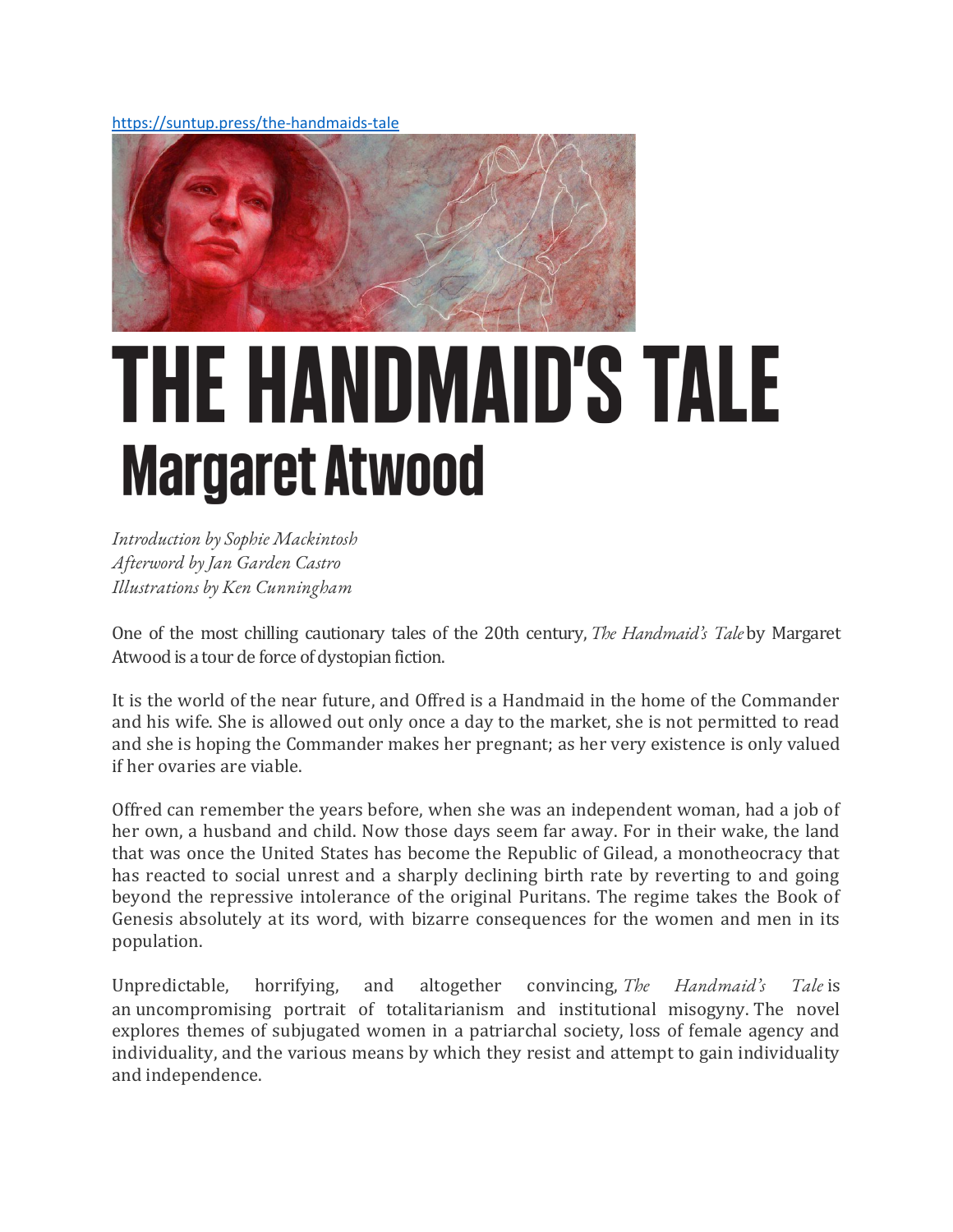https://suntup.press/the-handmaids-tale



# **THE HANDMAID'S TALE Margaret Atwood**

*Introduction by Sophie Mackintosh Afterword by Jan Garden Castro Illustrations by Ken Cunningham*

One of the most chilling cautionary tales of the 20th century, *The Handmaid's Tale* by Margaret Atwood is a tour de force of dystopian fiction.

It is the world of the near future, and Offred is a Handmaid in the home of the Commander and his wife. She is allowed out only once a day to the market, she is not permitted to read and she is hoping the Commander makes her pregnant; as her very existence is only valued if her ovaries are viable.

Offred can remember the years before, when she was an independent woman, had a job of her own, a husband and child. Now those days seem far away. For in their wake, the land that was once the United States has become the Republic of Gilead, a monotheocracy that has reacted to social unrest and a sharply declining birth rate by reverting to and going beyond the repressive intolerance of the original Puritans. The regime takes the Book of Genesis absolutely at its word, with bizarre consequences for the women and men in its population.

Unpredictable, horrifying, and altogether convincing, *The Handmaid's Tale* is an uncompromising portrait of totalitarianism and institutional misogyny. The novel explores themes of subjugated women in a patriarchal society, loss of female agency and individuality, and the various means by which they resist and attempt to gain individuality and independence.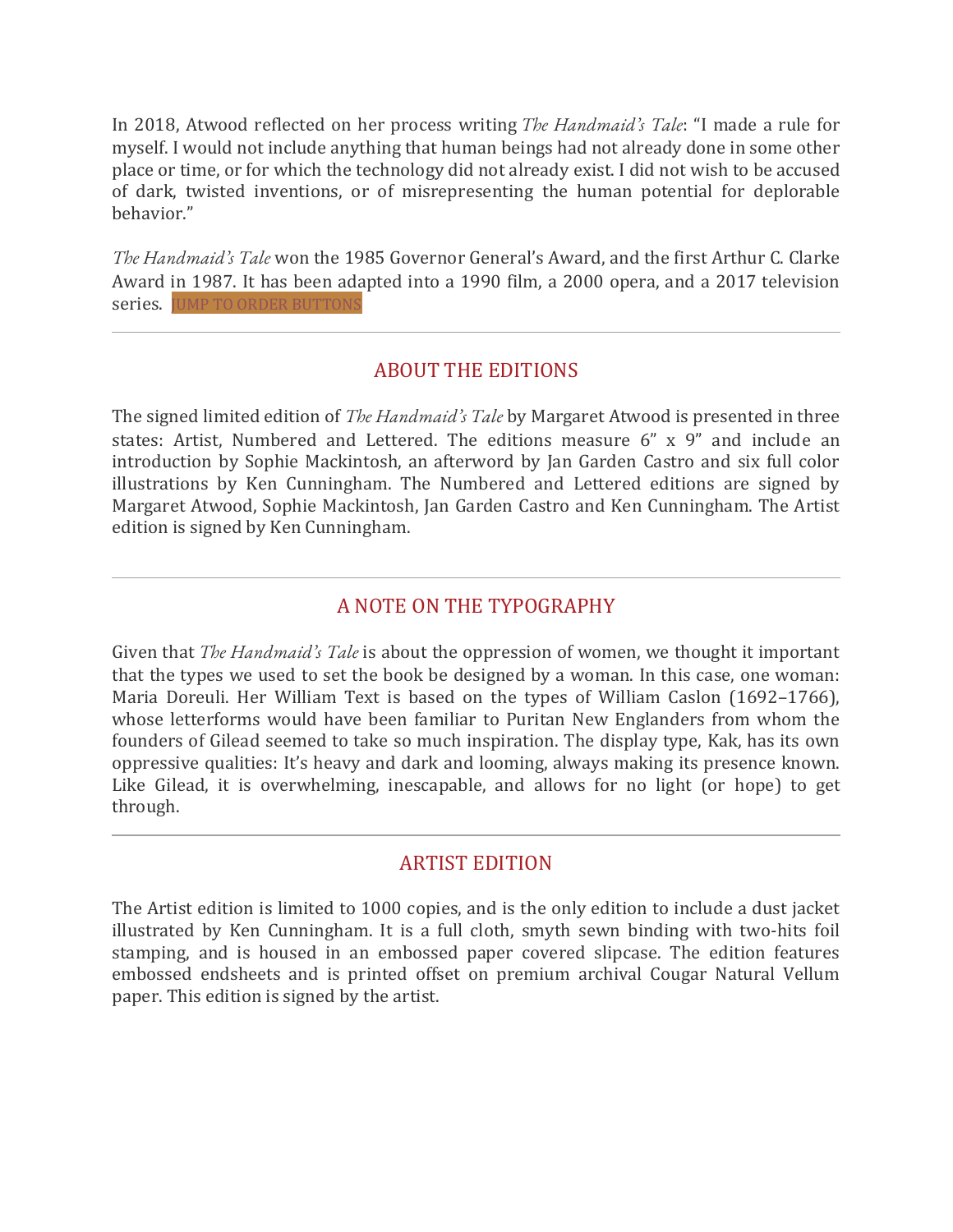In 2018, Atwood reflected on her process writing *The Handmaid's Tale*: "I made a rule for myself. I would not include anything that human beings had not already done in some other place or time, or for which the technology did not already exist. I did not wish to be accused of dark, twisted inventions, or of misrepresenting the human potential for deplorable behavior."

*The Handmaid's Tale* won the 1985 Governor General's Award, and the first Arthur C. Clarke Award in 1987. It has been adapted into a 1990 film, a 2000 opera, and a 2017 television series. **JUMP TO ORDER BUTTONS** 

### ABOUT THE EDITIONS

The signed limited edition of *The Handmaid's Tale* by Margaret Atwood is presented in three states: Artist, Numbered and Lettered. The editions measure 6" x 9" and include an introduction by Sophie Mackintosh, an afterword by Jan Garden Castro and six full color illustrations by Ken Cunningham. The Numbered and Lettered editions are signed by Margaret Atwood, Sophie Mackintosh, Jan Garden Castro and Ken Cunningham. The Artist edition is signed by Ken Cunningham.

## A NOTE ON THE TYPOGRAPHY

Given that *The Handmaid's Tale* is about the oppression of women, we thought it important that the types we used to set the book be designed by a woman. In this case, one woman: Maria Doreuli. Her William Text is based on the types of William Caslon (1692–1766), whose letterforms would have been familiar to Puritan New Englanders from whom the founders of Gilead seemed to take so much inspiration. The display type, Kak, has its own oppressive qualities: It's heavy and dark and looming, always making its presence known. Like Gilead, it is overwhelming, inescapable, and allows for no light (or hope) to get through.

### ARTIST EDITION

The Artist edition is limited to 1000 copies, and is the only edition to include a dust jacket illustrated by Ken Cunningham. It is a full cloth, smyth sewn binding with two-hits foil stamping, and is housed in an embossed paper covered slipcase. The edition features embossed endsheets and is printed offset on premium archival Cougar Natural Vellum paper. This edition is signed by the artist.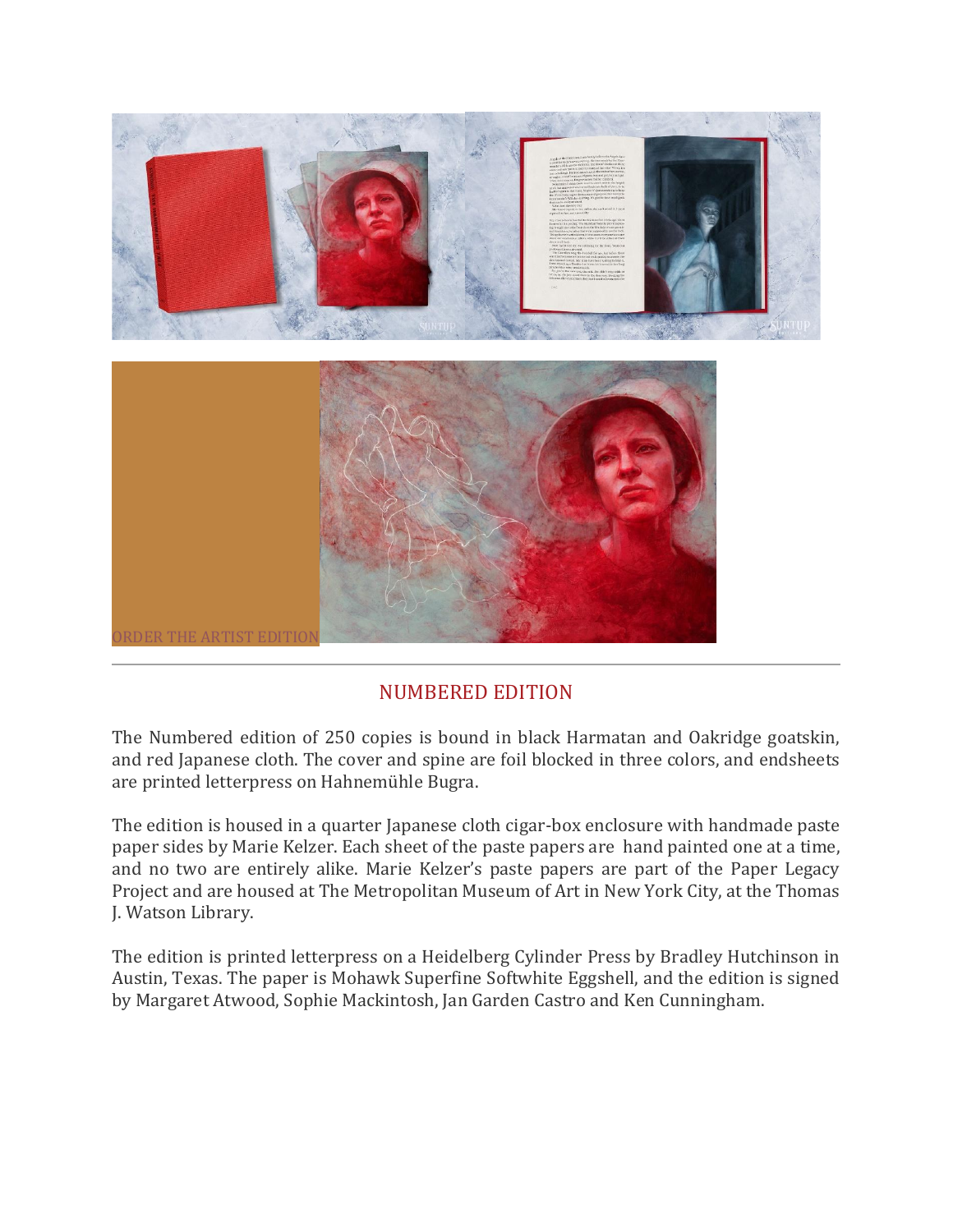

### NUMBERED EDITION

The Numbered edition of 250 copies is bound in black Harmatan and Oakridge goatskin, and red Japanese cloth. The cover and spine are foil blocked in three colors, and endsheets are printed letterpress on Hahnemühle Bugra.

The edition is housed in a quarter Japanese cloth cigar-box enclosure with handmade paste paper sides by Marie Kelzer. Each sheet of the paste papers are hand painted one at a time, and no two are entirely alike. Marie Kelzer's paste papers are part of the Paper Legacy Project and are housed at The Metropolitan Museum of Art in New York City, at the Thomas J. Watson Library.

The edition is printed letterpress on a Heidelberg Cylinder Press by Bradley Hutchinson in Austin, Texas. The paper is Mohawk Superfine Softwhite Eggshell, and the edition is signed by Margaret Atwood, Sophie Mackintosh, Jan Garden Castro and Ken Cunningham.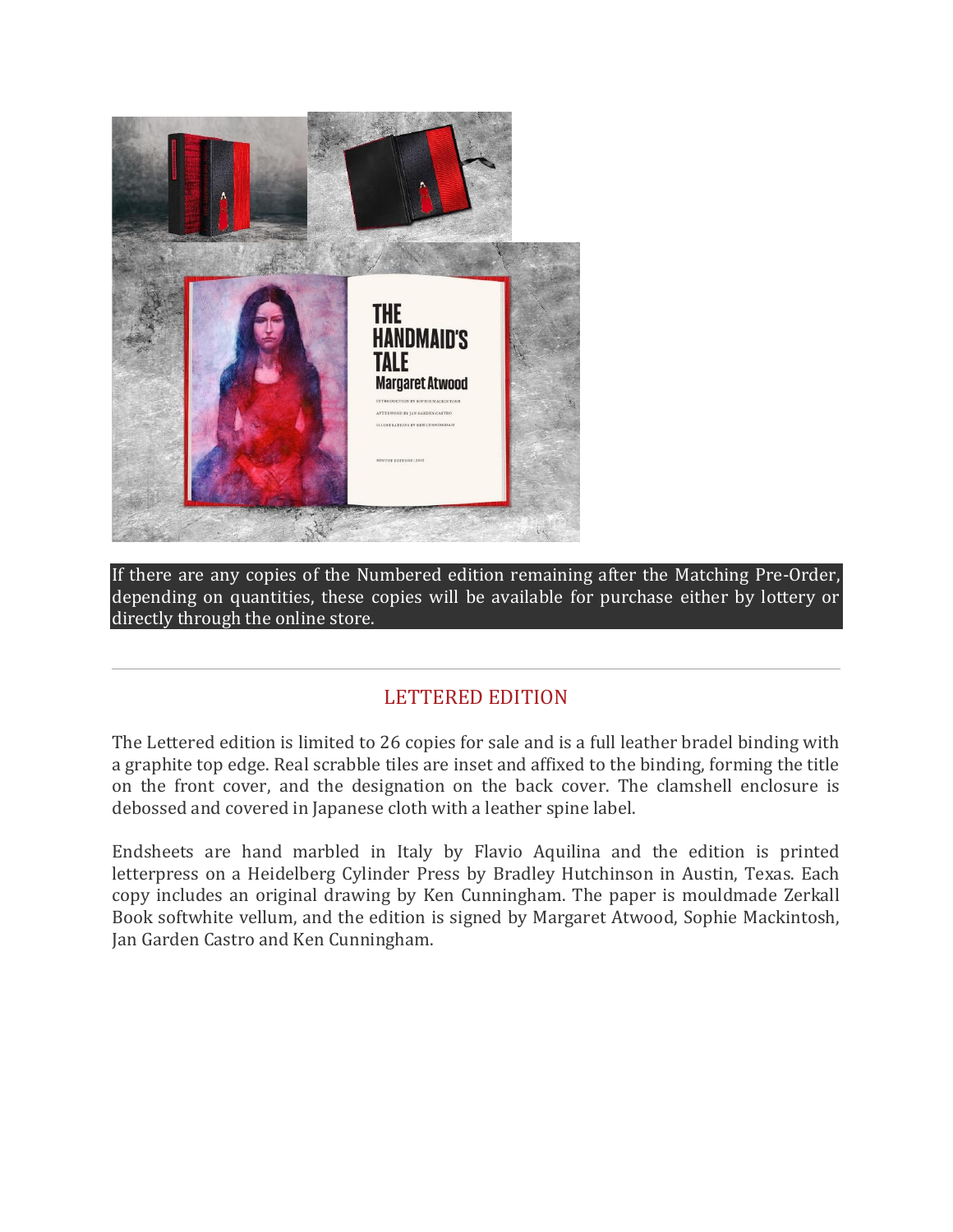

If there are any copies of the Numbered edition remaining after the Matching Pre-Order, depending on quantities, these copies will be available for purchase either by lottery or directly through the online store.

# LETTERED EDITION

The Lettered edition is limited to 26 copies for sale and is a full leather bradel binding with a graphite top edge. Real scrabble tiles are inset and affixed to the binding, forming the title on the front cover, and the designation on the back cover. The clamshell enclosure is debossed and covered in Japanese cloth with a leather spine label.

Endsheets are hand marbled in Italy by Flavio Aquilina and the edition is printed letterpress on a Heidelberg Cylinder Press by Bradley Hutchinson in Austin, Texas. Each copy includes an original drawing by Ken Cunningham. The paper is mouldmade Zerkall Book softwhite vellum, and the edition is signed by Margaret Atwood, Sophie Mackintosh, Jan Garden Castro and Ken Cunningham.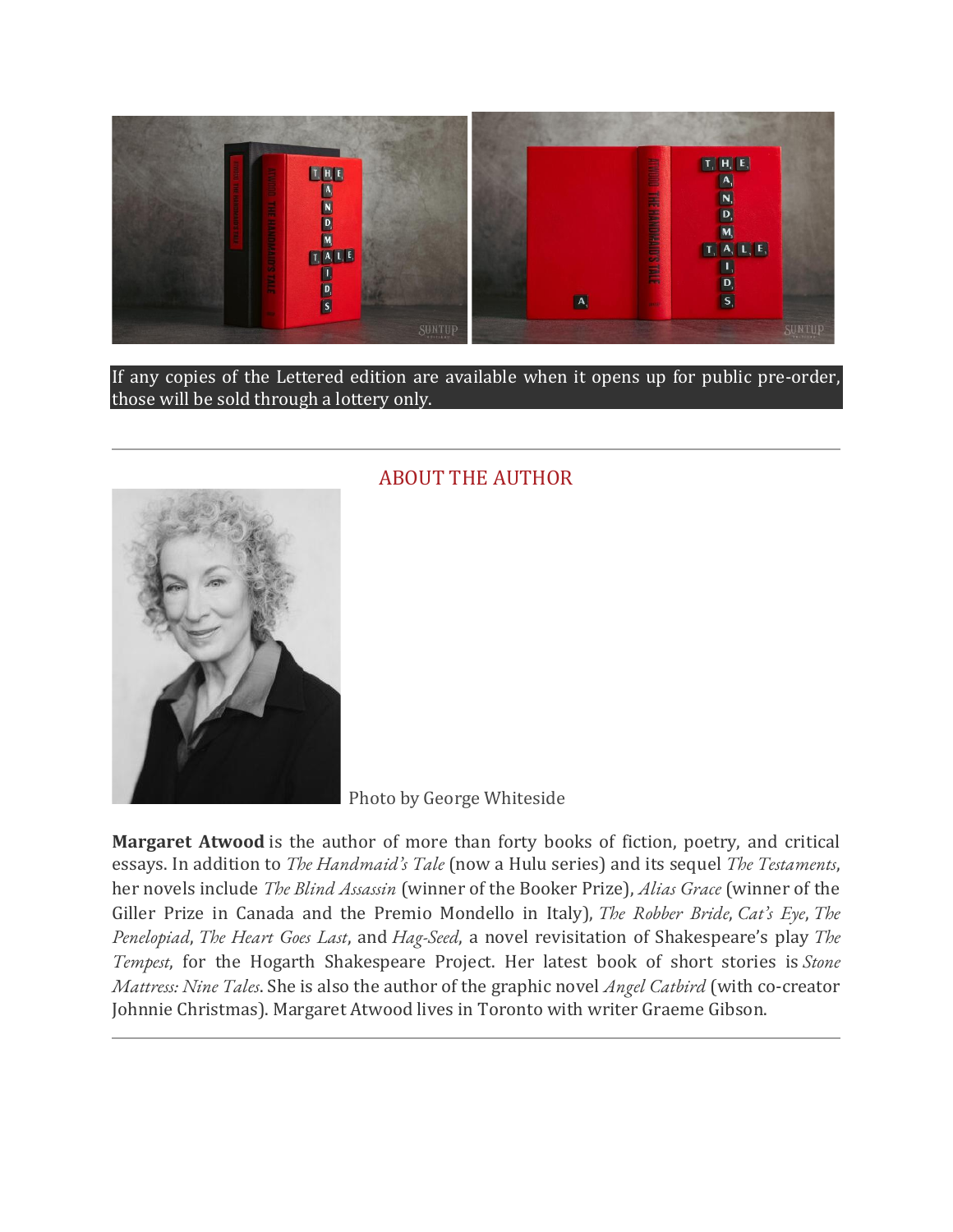

If any copies of the Lettered edition are available when it opens up for public pre-order, those will be sold through a lottery only.



#### ABOUT THE AUTHOR

Photo by George Whiteside

**Margaret Atwood** is the author of more than forty books of fiction, poetry, and critical essays. In addition to *The Handmaid's Tale* (now a Hulu series) and its sequel *The Testaments*, her novels include *The Blind Assassin* (winner of the Booker Prize), *Alias Grace* (winner of the Giller Prize in Canada and the Premio Mondello in Italy), *The Robber Bride*, *Cat's Eye*, *The Penelopiad*, *The Heart Goes Last*, and *Hag-Seed*, a novel revisitation of Shakespeare's play *The Tempest*, for the Hogarth Shakespeare Project. Her latest book of short stories is *Stone Mattress: Nine Tales*. She is also the author of the graphic novel *Angel Catbird* (with co-creator Johnnie Christmas). Margaret Atwood lives in Toronto with writer Graeme Gibson.